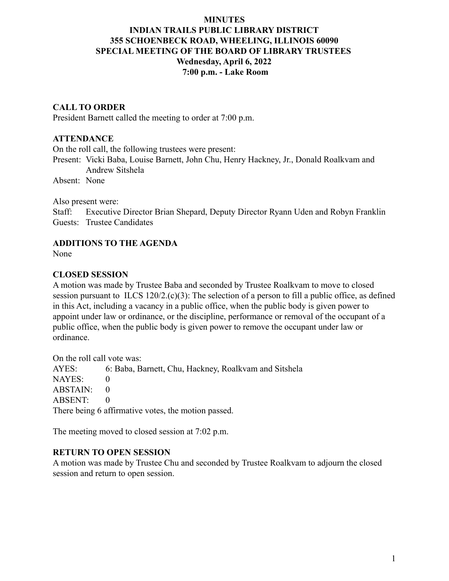## **MINUTES INDIAN TRAILS PUBLIC LIBRARY DISTRICT 355 SCHOENBECK ROAD, WHEELING, ILLINOIS 60090 SPECIAL MEETING OF THE BOARD OF LIBRARY TRUSTEES Wednesday, April 6, 2022 7:00 p.m. - Lake Room**

## **CALL TO ORDER**

President Barnett called the meeting to order at 7:00 p.m.

#### **ATTENDANCE**

On the roll call, the following trustees were present:

Present: Vicki Baba, Louise Barnett, John Chu, Henry Hackney, Jr., Donald Roalkvam and Andrew Sitshela

Absent: None

Also present were:

Staff: Executive Director Brian Shepard, Deputy Director Ryann Uden and Robyn Franklin Guests: Trustee Candidates

## **ADDITIONS TO THE AGENDA**

None

#### **CLOSED SESSION**

A motion was made by Trustee Baba and seconded by Trustee Roalkvam to move to closed session pursuant to ILCS 120/2.(c)(3): The selection of a person to fill a public office, as defined in this Act, including a vacancy in a public office, when the public body is given power to appoint under law or ordinance, or the discipline, performance or removal of the occupant of a public office, when the public body is given power to remove the occupant under law or ordinance.

On the roll call vote was:

AYES: 6: Baba, Barnett, Chu, Hackney, Roalkvam and Sitshela NAYES: 0  $ABSTAIN: 0$ ABSENT: 0 There being 6 affirmative votes, the motion passed.

The meeting moved to closed session at 7:02 p.m.

## **RETURN TO OPEN SESSION**

A motion was made by Trustee Chu and seconded by Trustee Roalkvam to adjourn the closed session and return to open session.